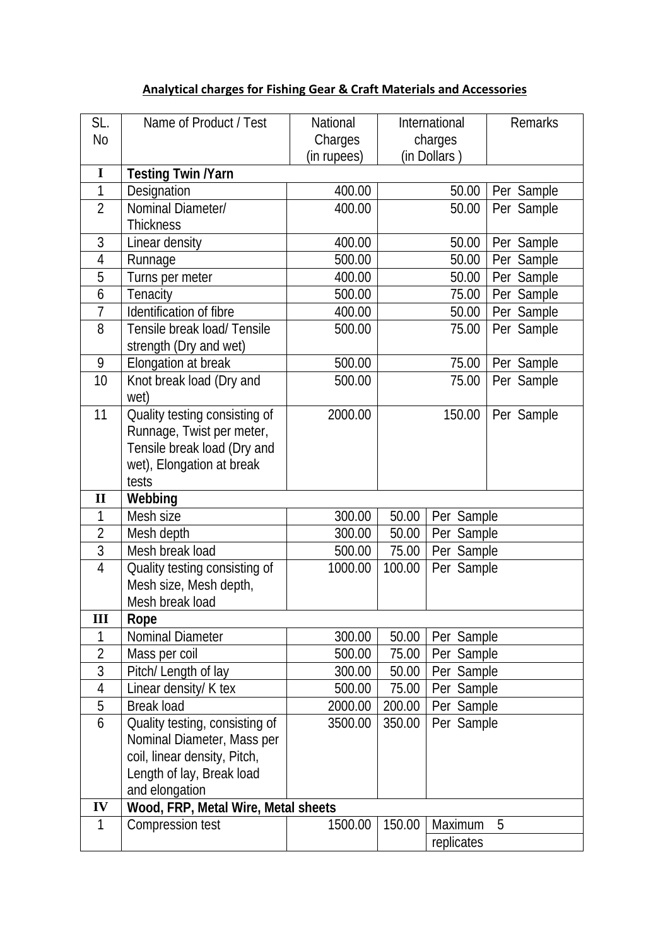## **Analytical charges for Fishing Gear & Craft Materials and Accessories**

| SL.            | Name of Product / Test              | National    |                          |              | <b>Remarks</b> |  |
|----------------|-------------------------------------|-------------|--------------------------|--------------|----------------|--|
| N <sub>0</sub> |                                     |             | International<br>charges |              |                |  |
|                |                                     | Charges     |                          | (in Dollars) |                |  |
| $\mathbf I$    |                                     | (in rupees) |                          |              |                |  |
| 1              | <b>Testing Twin /Yarn</b>           | 400.00      |                          | 50.00        |                |  |
| $\overline{2}$ | Designation<br>Nominal Diameter/    |             |                          |              | Per Sample     |  |
|                |                                     | 400.00      |                          | 50.00        | Per Sample     |  |
|                | <b>Thickness</b>                    |             |                          |              |                |  |
| 3              | Linear density                      | 400.00      |                          | 50.00        | Per Sample     |  |
| 4              | Runnage                             | 500.00      |                          | 50.00        | Per Sample     |  |
| 5              | Turns per meter                     | 400.00      |                          | 50.00        | Per Sample     |  |
| 6              | Tenacity                            | 500.00      |                          | 75.00        | Per Sample     |  |
| $\overline{1}$ | Identification of fibre             | 400.00      |                          | 50.00        | Per Sample     |  |
| 8              | Tensile break load/ Tensile         | 500.00      |                          | 75.00        | Per Sample     |  |
|                | strength (Dry and wet)              |             |                          |              |                |  |
| 9              | Elongation at break                 | 500.00      |                          | 75.00        | Per Sample     |  |
| 10             | Knot break load (Dry and            | 500.00      |                          | 75.00        | Per Sample     |  |
|                | wet)                                |             |                          |              |                |  |
| 11             | Quality testing consisting of       | 2000.00     |                          | 150.00       | Per Sample     |  |
|                | Runnage, Twist per meter,           |             |                          |              |                |  |
|                | Tensile break load (Dry and         |             |                          |              |                |  |
|                | wet), Elongation at break           |             |                          |              |                |  |
|                | tests                               |             |                          |              |                |  |
| $\mathbf{I}$   | Webbing                             |             |                          |              |                |  |
| 1              | Mesh size                           | 300.00      | 50.00                    | Per Sample   |                |  |
| $\overline{2}$ | Mesh depth                          | 300.00      | 50.00                    | Per Sample   |                |  |
| 3              | Mesh break load                     | 500.00      | 75.00                    | Per Sample   |                |  |
| 4              | Quality testing consisting of       | 1000.00     | 100.00                   | Per Sample   |                |  |
|                | Mesh size, Mesh depth,              |             |                          |              |                |  |
|                | Mesh break load                     |             |                          |              |                |  |
| Ш              | Rope                                |             |                          |              |                |  |
| 1              | Nominal Diameter                    | 300.00      | 50.00                    | Per Sample   |                |  |
| $\overline{2}$ | Mass per coil                       | 500.00      | 75.00                    | Per Sample   |                |  |
| 3              | Pitch/ Length of lay                | 300.00      | 50.00                    | Per Sample   |                |  |
| $\overline{4}$ | Linear density/ K tex               | 500.00      | 75.00                    | Per Sample   |                |  |
| 5              | <b>Break load</b>                   | 2000.00     | 200.00                   | Per Sample   |                |  |
| 6              | Quality testing, consisting of      | 3500.00     | 350.00                   | Per Sample   |                |  |
|                | Nominal Diameter, Mass per          |             |                          |              |                |  |
|                | coil, linear density, Pitch,        |             |                          |              |                |  |
|                | Length of lay, Break load           |             |                          |              |                |  |
|                | and elongation                      |             |                          |              |                |  |
| IV             | Wood, FRP, Metal Wire, Metal sheets |             |                          |              |                |  |
| 1              | Compression test                    | 1500.00     | 150.00                   | Maximum      | 5              |  |
|                |                                     |             |                          | replicates   |                |  |
|                |                                     |             |                          |              |                |  |